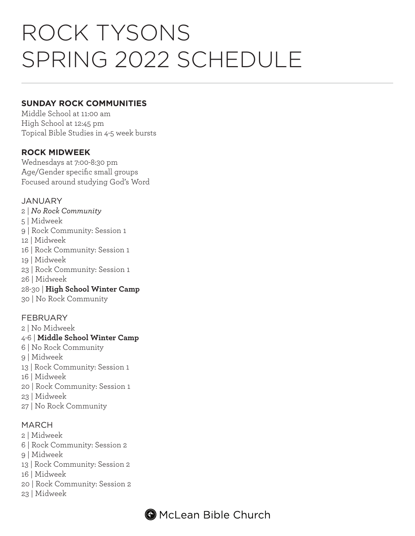# ROCK TYSONS SPRING 2022 SCHEDULE

#### **SUNDAY ROCK COMMUNITIES**

Middle School at 11:00 am High School at 12:45 pm Topical Bible Studies in 4-5 week bursts

### **ROCK MIDWEEK**

Wednesdays at 7:00-8:30 pm Age/Gender specific small groups Focused around studying God's Word

#### JANUARY

- 2 | *No Rock Community*
- 5 | Midweek
- 9 | Rock Community: Session 1
- 12 | Midweek
- 16 | Rock Community: Session 1
- 19 | Midweek
- 23 | Rock Community: Session 1
- 26 | Midweek
- 28-30 | **High School Winter Camp**
- 30 | No Rock Community

#### FEBRUARY

- 2 | No Midweek
- 4-6 | **Middle School Winter Camp**
- 6 | No Rock Community
- 9 | Midweek
- 13 | Rock Community: Session 1
- 16 | Midweek
- 20 | Rock Community: Session 1
- 23 | Midweek
- 27 | No Rock Community

#### MARCH

- 2 | Midweek
- 6 | Rock Community: Session 2
- 9 | Midweek
- 13 | Rock Community: Session 2
- 16 | Midweek
- 20 | Rock Community: Session 2
- 23 | Midweek